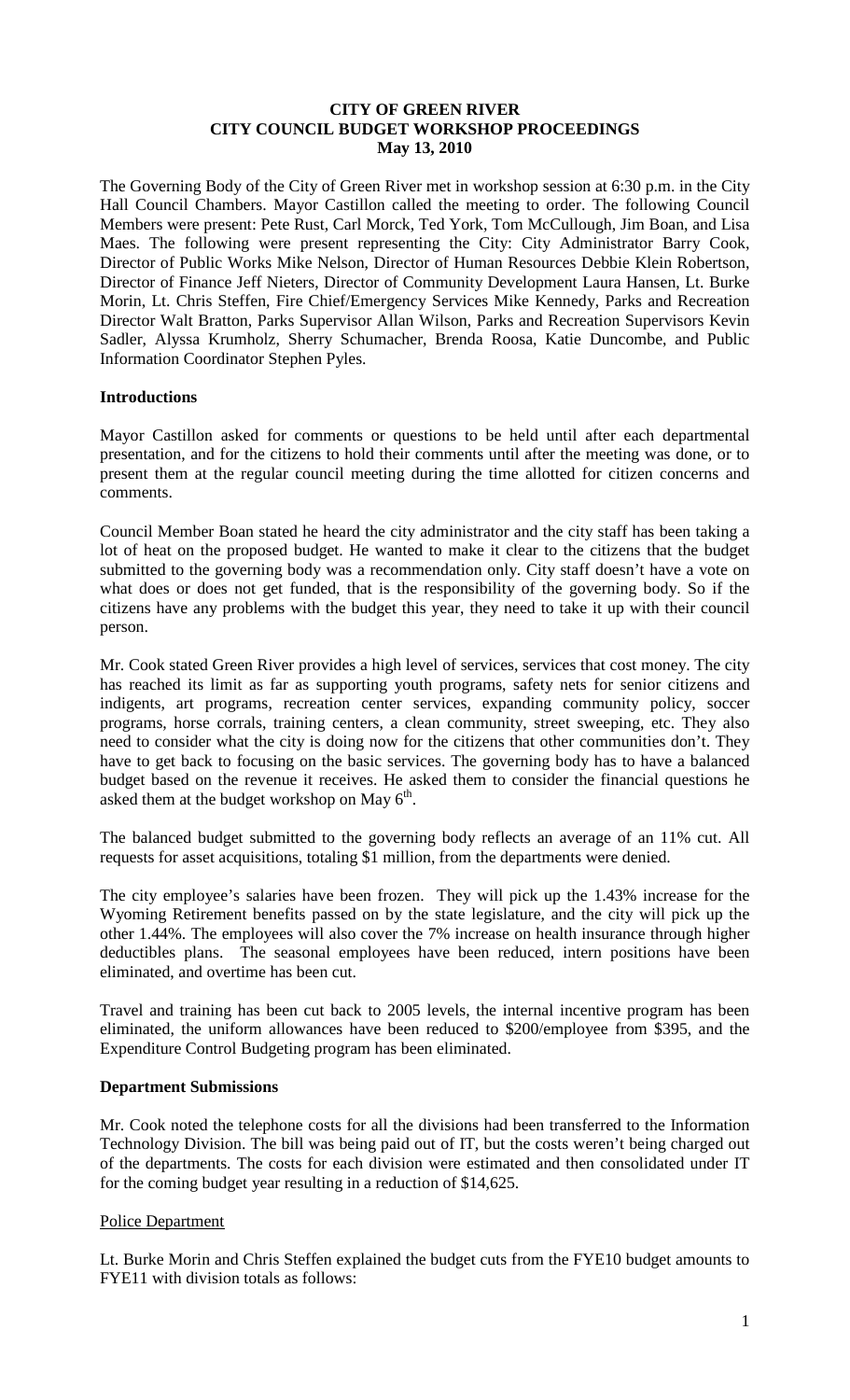## **CITY OF GREEN RIVER CITY COUNCIL BUDGET WORKSHOP PROCEEDINGS May 13, 2010**

The Governing Body of the City of Green River met in workshop session at 6:30 p.m. in the City Hall Council Chambers. Mayor Castillon called the meeting to order. The following Council Members were present: Pete Rust, Carl Morck, Ted York, Tom McCullough, Jim Boan, and Lisa Maes. The following were present representing the City: City Administrator Barry Cook, Director of Public Works Mike Nelson, Director of Human Resources Debbie Klein Robertson, Director of Finance Jeff Nieters, Director of Community Development Laura Hansen, Lt. Burke Morin, Lt. Chris Steffen, Fire Chief/Emergency Services Mike Kennedy, Parks and Recreation Director Walt Bratton, Parks Supervisor Allan Wilson, Parks and Recreation Supervisors Kevin Sadler, Alyssa Krumholz, Sherry Schumacher, Brenda Roosa, Katie Duncombe, and Public Information Coordinator Stephen Pyles.

## **Introductions**

Mayor Castillon asked for comments or questions to be held until after each departmental presentation, and for the citizens to hold their comments until after the meeting was done, or to present them at the regular council meeting during the time allotted for citizen concerns and comments.

Council Member Boan stated he heard the city administrator and the city staff has been taking a lot of heat on the proposed budget. He wanted to make it clear to the citizens that the budget submitted to the governing body was a recommendation only. City staff doesn't have a vote on what does or does not get funded, that is the responsibility of the governing body. So if the citizens have any problems with the budget this year, they need to take it up with their council person.

Mr. Cook stated Green River provides a high level of services, services that cost money. The city has reached its limit as far as supporting youth programs, safety nets for senior citizens and indigents, art programs, recreation center services, expanding community policy, soccer programs, horse corrals, training centers, a clean community, street sweeping, etc. They also need to consider what the city is doing now for the citizens that other communities don't. They have to get back to focusing on the basic services. The governing body has to have a balanced budget based on the revenue it receives. He asked them to consider the financial questions he asked them at the budget workshop on May  $6<sup>th</sup>$ .

The balanced budget submitted to the governing body reflects an average of an 11% cut. All requests for asset acquisitions, totaling \$1 million, from the departments were denied.

The city employee's salaries have been frozen. They will pick up the 1.43% increase for the Wyoming Retirement benefits passed on by the state legislature, and the city will pick up the other 1.44%. The employees will also cover the 7% increase on health insurance through higher deductibles plans. The seasonal employees have been reduced, intern positions have been eliminated, and overtime has been cut.

Travel and training has been cut back to 2005 levels, the internal incentive program has been eliminated, the uniform allowances have been reduced to \$200/employee from \$395, and the Expenditure Control Budgeting program has been eliminated.

## **Department Submissions**

Mr. Cook noted the telephone costs for all the divisions had been transferred to the Information Technology Division. The bill was being paid out of IT, but the costs weren't being charged out of the departments. The costs for each division were estimated and then consolidated under IT for the coming budget year resulting in a reduction of \$14,625.

## Police Department

Lt. Burke Morin and Chris Steffen explained the budget cuts from the FYE10 budget amounts to FYE11 with division totals as follows: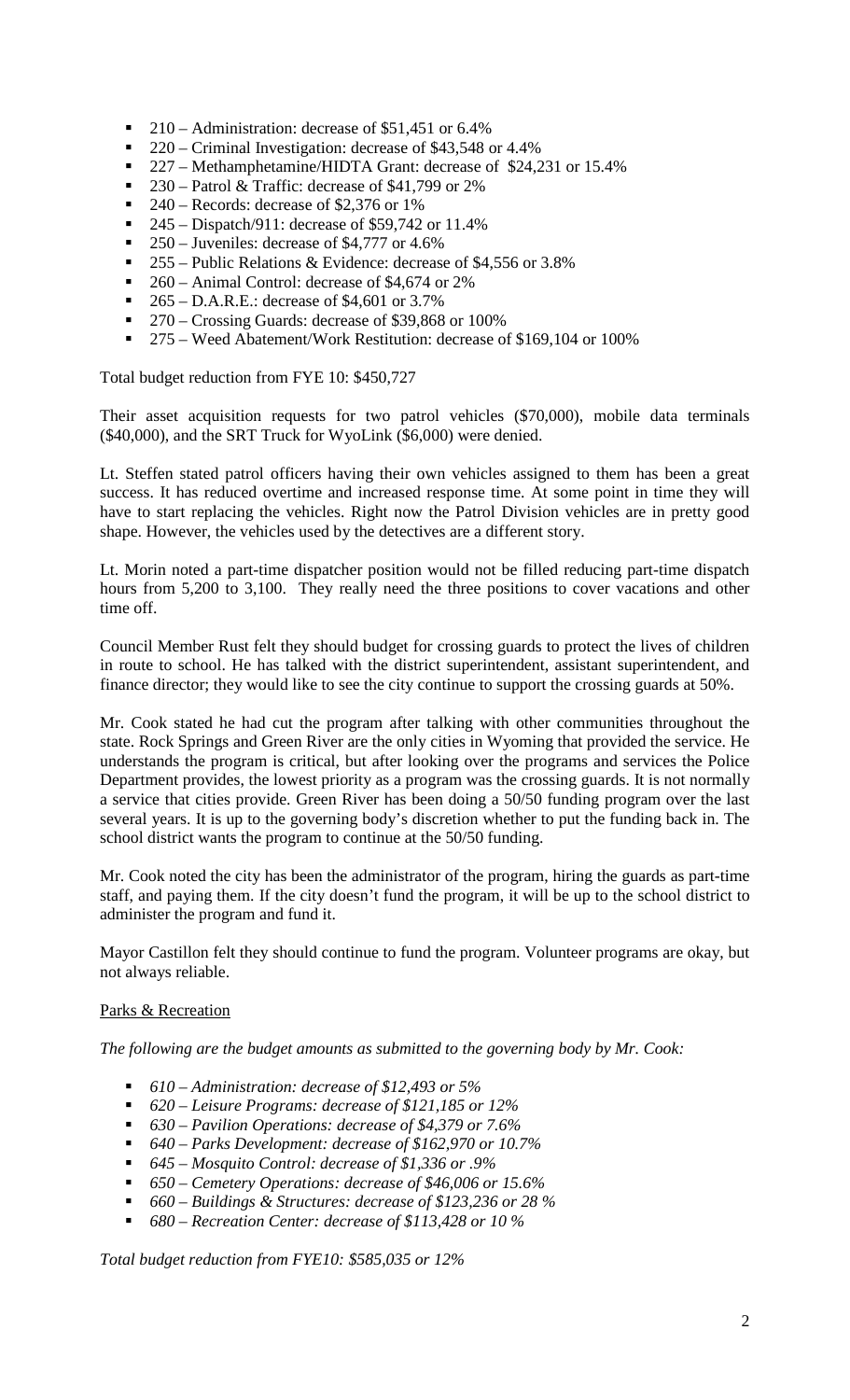- 210 Administration: decrease of \$51,451 or 6.4%
- 220 Criminal Investigation: decrease of \$43,548 or 4.4%<br>■ 227 Methamphetamine/HIDTA Grant: decrease of \$24.2
- 227 Methamphetamine/HIDTA Grant: decrease of \$24,231 or 15.4%<br>230 Patrol & Traffic: decrease of \$41.799 or 2%
- 230 Patrol & Traffic: decrease of \$41,799 or 2%<br>240 Records: decrease of \$2,376 or 1%
- 240 Records: decrease of \$2,376 or 1%
- 245 Dispatch/911: decrease of \$59,742 or 11.4%
- 250 Juveniles: decrease of \$4,777 or 4.6%
- $\blacksquare$  255 Public Relations & Evidence: decrease of \$4,556 or 3.8%
- 260 Animal Control: decrease of \$4,674 or 2%
- $\blacksquare$  265 D.A.R.E.: decrease of \$4,601 or 3.7%
- 270 Crossing Guards: decrease of \$39,868 or 100%
- 275 Weed Abatement/Work Restitution: decrease of \$169,104 or 100%

Total budget reduction from FYE 10: \$450,727

Their asset acquisition requests for two patrol vehicles (\$70,000), mobile data terminals (\$40,000), and the SRT Truck for WyoLink (\$6,000) were denied.

Lt. Steffen stated patrol officers having their own vehicles assigned to them has been a great success. It has reduced overtime and increased response time. At some point in time they will have to start replacing the vehicles. Right now the Patrol Division vehicles are in pretty good shape. However, the vehicles used by the detectives are a different story.

Lt. Morin noted a part-time dispatcher position would not be filled reducing part-time dispatch hours from 5,200 to 3,100. They really need the three positions to cover vacations and other time off.

Council Member Rust felt they should budget for crossing guards to protect the lives of children in route to school. He has talked with the district superintendent, assistant superintendent, and finance director; they would like to see the city continue to support the crossing guards at 50%.

Mr. Cook stated he had cut the program after talking with other communities throughout the state. Rock Springs and Green River are the only cities in Wyoming that provided the service. He understands the program is critical, but after looking over the programs and services the Police Department provides, the lowest priority as a program was the crossing guards. It is not normally a service that cities provide. Green River has been doing a 50/50 funding program over the last several years. It is up to the governing body's discretion whether to put the funding back in. The school district wants the program to continue at the 50/50 funding.

Mr. Cook noted the city has been the administrator of the program, hiring the guards as part-time staff, and paying them. If the city doesn't fund the program, it will be up to the school district to administer the program and fund it.

Mayor Castillon felt they should continue to fund the program. Volunteer programs are okay, but not always reliable.

## Parks & Recreation

*The following are the budget amounts as submitted to the governing body by Mr. Cook:*

- *610 – Administration: decrease of \$12,493 or 5%*
- *620 – Leisure Programs: decrease of \$121,185 or 12%*
- *630 – Pavilion Operations: decrease of \$4,379 or 7.6%*
- *640 – Parks Development: decrease of \$162,970 or 10.7%*
- *645 – Mosquito Control: decrease of \$1,336 or .9%*
- *650 – Cemetery Operations: decrease of \$46,006 or 15.6%*
- *660 – Buildings & Structures: decrease of \$123,236 or 28 %*
- *680 – Recreation Center: decrease of \$113,428 or 10 %*

*Total budget reduction from FYE10: \$585,035 or 12%*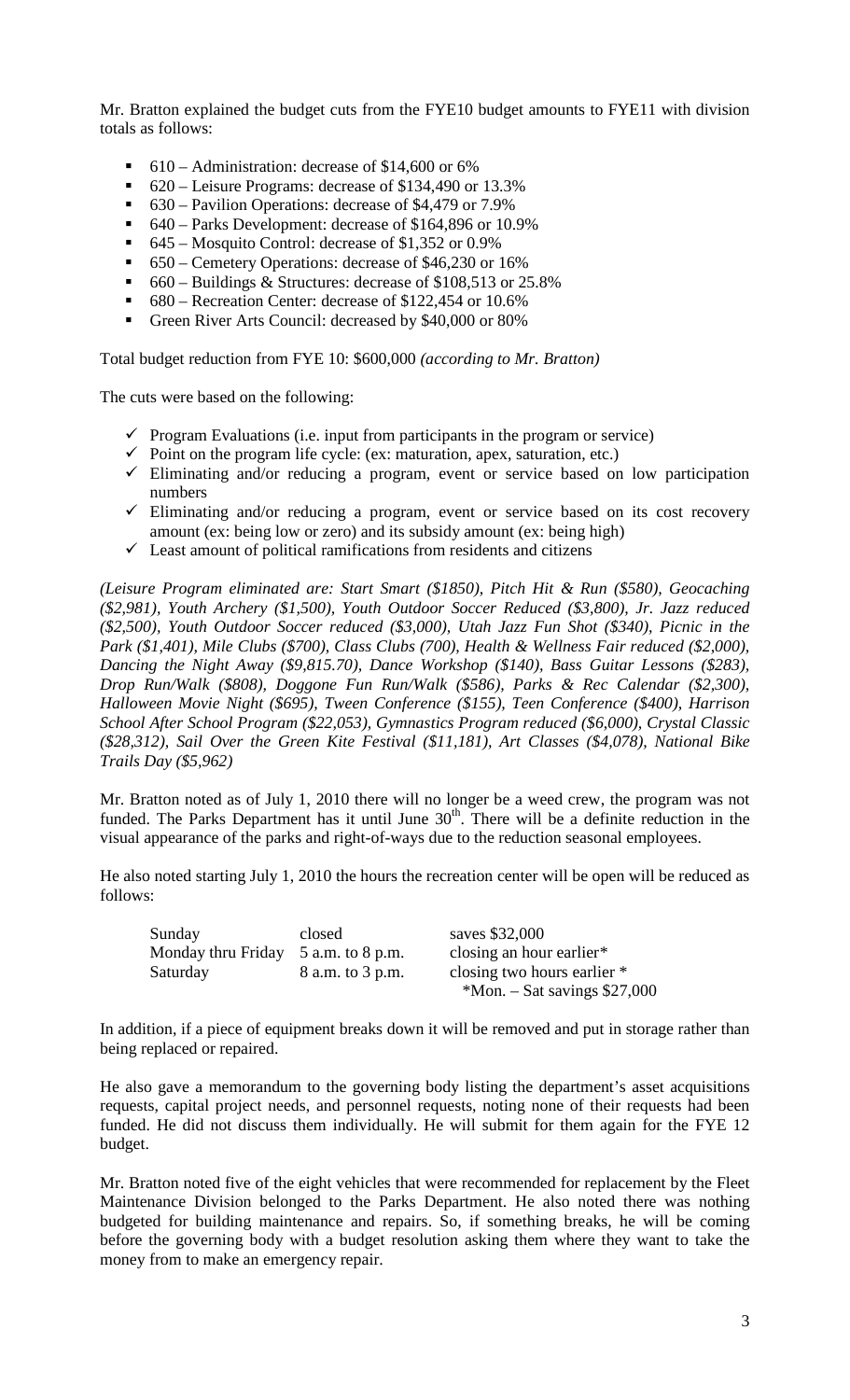Mr. Bratton explained the budget cuts from the FYE10 budget amounts to FYE11 with division totals as follows:

- 610 Administration: decrease of \$14,600 or 6%
- 620 Leisure Programs: decrease of \$134,490 or 13.3%
- 630 Pavilion Operations: decrease of \$4,479 or 7.9%
- 640 Parks Development: decrease of \$164,896 or 10.9%
- $\bullet$  645 Mosquito Control: decrease of \$1,352 or 0.9%
- 650 Cemetery Operations: decrease of \$46,230 or 16%
- 660 Buildings & Structures: decrease of \$108,513 or 25.8%
- 680 Recreation Center: decrease of \$122,454 or 10.6%
- Green River Arts Council: decreased by \$40,000 or 80%

Total budget reduction from FYE 10: \$600,000 *(according to Mr. Bratton)*

The cuts were based on the following:

- $\checkmark$  Program Evaluations (i.e. input from participants in the program or service)
- $\checkmark$  Point on the program life cycle: (ex: maturation, apex, saturation, etc.)
- $\checkmark$  Eliminating and/or reducing a program, event or service based on low participation numbers
- $\checkmark$  Eliminating and/or reducing a program, event or service based on its cost recovery amount (ex: being low or zero) and its subsidy amount (ex: being high)
- $\checkmark$  Least amount of political ramifications from residents and citizens

*(Leisure Program eliminated are: Start Smart (\$1850), Pitch Hit & Run (\$580), Geocaching (\$2,981), Youth Archery (\$1,500), Youth Outdoor Soccer Reduced (\$3,800), Jr. Jazz reduced (\$2,500), Youth Outdoor Soccer reduced (\$3,000), Utah Jazz Fun Shot (\$340), Picnic in the Park (\$1,401), Mile Clubs (\$700), Class Clubs (700), Health & Wellness Fair reduced (\$2,000), Dancing the Night Away (\$9,815.70), Dance Workshop (\$140), Bass Guitar Lessons (\$283), Drop Run/Walk (\$808), Doggone Fun Run/Walk (\$586), Parks & Rec Calendar (\$2,300), Halloween Movie Night (\$695), Tween Conference (\$155), Teen Conference (\$400), Harrison School After School Program (\$22,053), Gymnastics Program reduced (\$6,000), Crystal Classic (\$28,312), Sail Over the Green Kite Festival (\$11,181), Art Classes (\$4,078), National Bike Trails Day (\$5,962)*

Mr. Bratton noted as of July 1, 2010 there will no longer be a weed crew, the program was not funded. The Parks Department has it until June  $30<sup>th</sup>$ . There will be a definite reduction in the visual appearance of the parks and right-of-ways due to the reduction seasonal employees.

He also noted starting July 1, 2010 the hours the recreation center will be open will be reduced as follows:

| Sunday                                | closed           | saves \$32,000                  |
|---------------------------------------|------------------|---------------------------------|
| Monday thru Friday $5$ a.m. to 8 p.m. |                  | closing an hour earlier $*$     |
| Saturday                              | 8 a.m. to 3 p.m. | closing two hours earlier *     |
|                                       |                  | $*$ Mon. – Sat savings \$27,000 |

In addition, if a piece of equipment breaks down it will be removed and put in storage rather than being replaced or repaired.

He also gave a memorandum to the governing body listing the department's asset acquisitions requests, capital project needs, and personnel requests, noting none of their requests had been funded. He did not discuss them individually. He will submit for them again for the FYE 12 budget.

Mr. Bratton noted five of the eight vehicles that were recommended for replacement by the Fleet Maintenance Division belonged to the Parks Department. He also noted there was nothing budgeted for building maintenance and repairs. So, if something breaks, he will be coming before the governing body with a budget resolution asking them where they want to take the money from to make an emergency repair.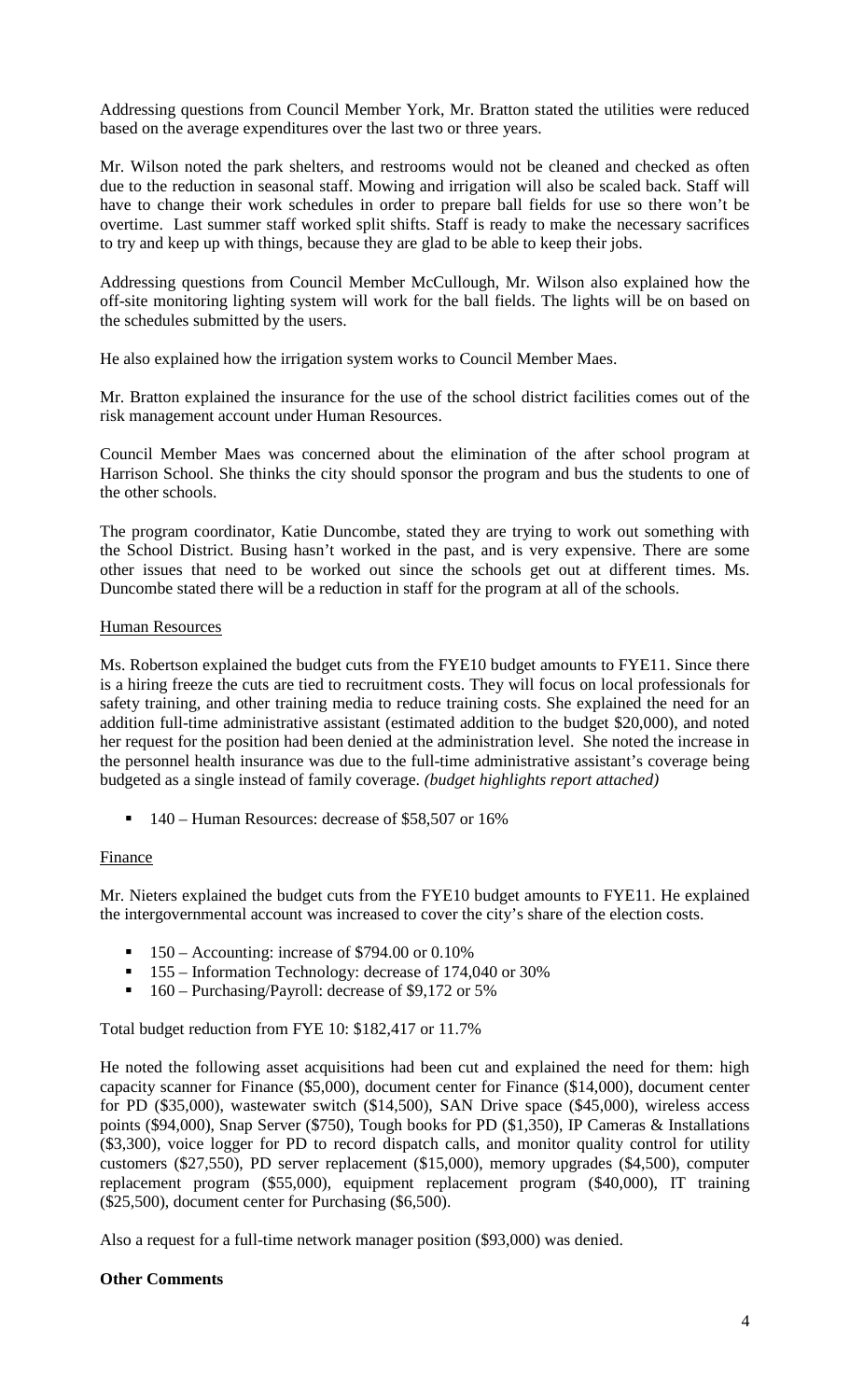Addressing questions from Council Member York, Mr. Bratton stated the utilities were reduced based on the average expenditures over the last two or three years.

Mr. Wilson noted the park shelters, and restrooms would not be cleaned and checked as often due to the reduction in seasonal staff. Mowing and irrigation will also be scaled back. Staff will have to change their work schedules in order to prepare ball fields for use so there won't be overtime. Last summer staff worked split shifts. Staff is ready to make the necessary sacrifices to try and keep up with things, because they are glad to be able to keep their jobs.

Addressing questions from Council Member McCullough, Mr. Wilson also explained how the off-site monitoring lighting system will work for the ball fields. The lights will be on based on the schedules submitted by the users.

He also explained how the irrigation system works to Council Member Maes.

Mr. Bratton explained the insurance for the use of the school district facilities comes out of the risk management account under Human Resources.

Council Member Maes was concerned about the elimination of the after school program at Harrison School. She thinks the city should sponsor the program and bus the students to one of the other schools.

The program coordinator, Katie Duncombe, stated they are trying to work out something with the School District. Busing hasn't worked in the past, and is very expensive. There are some other issues that need to be worked out since the schools get out at different times. Ms. Duncombe stated there will be a reduction in staff for the program at all of the schools.

## Human Resources

Ms. Robertson explained the budget cuts from the FYE10 budget amounts to FYE11. Since there is a hiring freeze the cuts are tied to recruitment costs. They will focus on local professionals for safety training, and other training media to reduce training costs. She explained the need for an addition full-time administrative assistant (estimated addition to the budget \$20,000), and noted her request for the position had been denied at the administration level. She noted the increase in the personnel health insurance was due to the full-time administrative assistant's coverage being budgeted as a single instead of family coverage. *(budget highlights report attached)*

■ 140 – Human Resources: decrease of \$58,507 or 16%

#### **Finance**

Mr. Nieters explained the budget cuts from the FYE10 budget amounts to FYE11. He explained the intergovernmental account was increased to cover the city's share of the election costs.

- 150 Accounting: increase of \$794.00 or 0.10%
- 155 Information Technology: decrease of 174,040 or 30%
- 160 Purchasing/Payroll: decrease of \$9,172 or 5%

Total budget reduction from FYE 10: \$182,417 or 11.7%

He noted the following asset acquisitions had been cut and explained the need for them: high capacity scanner for Finance (\$5,000), document center for Finance (\$14,000), document center for PD (\$35,000), wastewater switch (\$14,500), SAN Drive space (\$45,000), wireless access points (\$94,000), Snap Server (\$750), Tough books for PD (\$1,350), IP Cameras & Installations (\$3,300), voice logger for PD to record dispatch calls, and monitor quality control for utility customers (\$27,550), PD server replacement (\$15,000), memory upgrades (\$4,500), computer replacement program (\$55,000), equipment replacement program (\$40,000), IT training (\$25,500), document center for Purchasing (\$6,500).

Also a request for a full-time network manager position (\$93,000) was denied.

## **Other Comments**